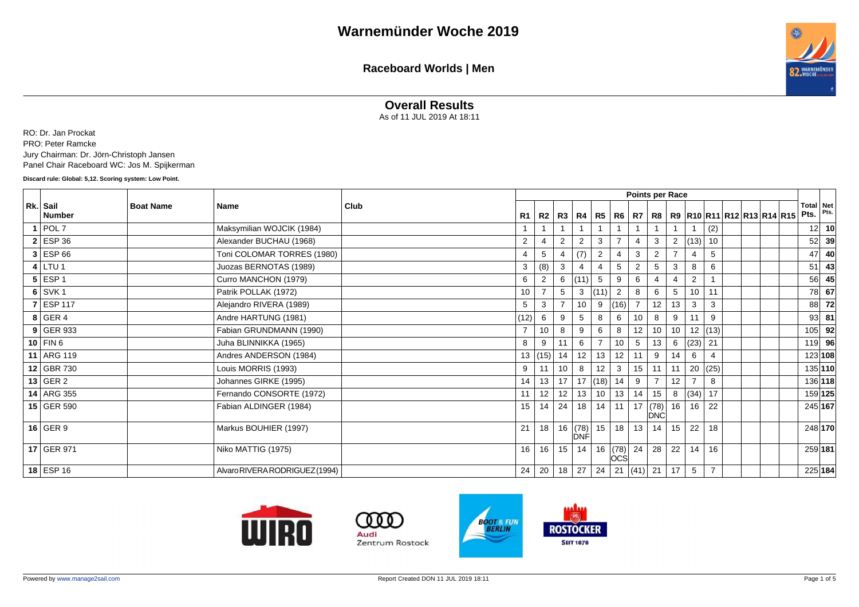

#### **Overall Results**

As of 11 JUL 2019 At 18:11

RO: Dr. Jan Prockat PRO: Peter Ramcke Jury Chairman: Dr. Jörn-Christoph Jansen Panel Chair Raceboard WC: Jos M. Spijkerman

**Discard rule: Global: 5,12. Scoring system: Low Point.**

|                           |                  |                                |      |                 |      |                 |                |               |                |                 | Points per Race  |                |                         |                |  |                                        |                 |                       |
|---------------------------|------------------|--------------------------------|------|-----------------|------|-----------------|----------------|---------------|----------------|-----------------|------------------|----------------|-------------------------|----------------|--|----------------------------------------|-----------------|-----------------------|
| Rk. Sail<br><b>Number</b> | <b>Boat Name</b> | Name                           | Club | R1              | R2   |                 | R3   R4        | R5            |                | R6   R7   R8    |                  |                |                         |                |  | R9   R10   R11   R12   R13   R14   R15 | Pts.            | Total Net<br>Pts.     |
| $1$ POL 7                 |                  | Maksymilian WOJCIK (1984)      |      |                 |      |                 |                |               |                |                 |                  |                |                         | (2)            |  |                                        |                 | 10<br>12 <sup>1</sup> |
| $2$ ESP 36                |                  | Alexander BUCHAU (1968)        |      | 2               |      | $\overline{2}$  | $\overline{2}$ | 3             | $\overline{7}$ | $\overline{4}$  | 3                | $\overline{2}$ | (13)                    | 10             |  |                                        |                 | 39<br>52              |
| $3$ ESP 66                |                  | Toni COLOMAR TORRES (1980)     |      | $\overline{4}$  | 5    | $\overline{4}$  | (7)            | 2             | $\overline{4}$ | 3               | $\overline{2}$   | $\overline{7}$ | 4                       | 5              |  |                                        | 47              | 40                    |
| $4$ LTU 1                 |                  | Juozas BERNOTAS (1989)         |      | 3               | (8)  | 3               | $\overline{4}$ |               | 5              | $\overline{2}$  | 5                | 3              | 8                       | 6              |  |                                        | 51              | 43                    |
| $5$ ESP 1                 |                  | Curro MANCHON (1979)           |      | 6               | 2    | 6               | (11)           | -5            | 9              | 6               |                  | $\overline{4}$ | $\overline{\mathbf{c}}$ |                |  |                                        |                 | 56l<br>45             |
| $6$ SVK 1                 |                  | Patrik POLLAK (1972)           |      | 10              |      | 5               | 3              | (11)          | 2              | 8               | 6                | 5              | 10 <sup>1</sup>         | 11             |  |                                        |                 | <b>78</b><br>67       |
| $7$ ESP 117               |                  | Alejandro RIVERA (1989)        |      | $5\overline{5}$ | 3    |                 | 10             | 9             | (16)           |                 | 12               | 13             | 3                       | 3              |  |                                        |                 | 72<br>88              |
| $8$ GER 4                 |                  | Andre HARTUNG (1981)           |      | (12)            | 6    | 9               | 5              | 8             | 6              | 10 <sup>1</sup> | 8                | 9              | 11                      | 9              |  |                                        | 93 <sub>l</sub> | 81                    |
| $9$ GER 933               |                  | Fabian GRUNDMANN (1990)        |      | $\overline{7}$  | 10   | 8               | 9              | 6             | 8              | 12 <sup>2</sup> | 10               | 10             |                         | 12   (13)      |  |                                        | 105             | 92                    |
| 10   FIN 6                |                  | Juha BLINNIKKA (1965)          |      | 8               | 9    | 11              | 6              |               | 10             | 5               | 13               | 6              | (23) 21                 |                |  |                                        | 119             | - 96                  |
| 11 ARG 119                |                  | Andres ANDERSON (1984)         |      | 13              | (15) | 14              | 12             | 13            | 12             | 11              | 9                | 14             | 6                       | $\overline{4}$ |  |                                        |                 | 123 108               |
| 12 GBR 730                |                  | Louis MORRIS (1993)            |      | 9               | 11   | 10 <sup>1</sup> | 8              | 12            | 3              | 15 <sup>1</sup> | 11               | 11             |                         | 20   (25)      |  |                                        |                 | 135 110               |
| $13$ GER 2                |                  | Johannes GIRKE (1995)          |      | 14              | 13   | 17              |                | 17  (18)      | 14             | 9               |                  | 12             |                         | 8              |  |                                        |                 | 136 118               |
| 14 ARG 355                |                  | Fernando CONSORTE (1972)       |      | 11              | 12   | 12              | 13             | 10            | 13             | 14              | 15               | 8              | (34)                    | 17             |  |                                        |                 | 159 125               |
| 15 GER 590                |                  | Fabian ALDINGER (1984)         |      | 15              | 14   | 24              | 18             | 14            | 11             |                 | 17 $(78)$<br>DNC | 16             | 16                      | 22             |  |                                        |                 | 245 167               |
| $16$ GER 9                |                  | Markus BOUHIER (1997)          |      | 21              | 18   |                 | <b>DNF</b>     | 16  (78)   15 | 18             | 13              | 14               | 15             | 22                      | 18             |  |                                        |                 | 248 170               |
| 17 GER 971                |                  | Niko MATTIG (1975)             |      | 16              | 16   | 15              | 14             | 16            | (78)<br>lòcś   | 24              | 28               | 22             | 14                      | 16             |  |                                        |                 | 259 181               |
| 18 ESP 16                 |                  | Alvaro RIVERA RODRIGUEZ (1994) |      | 24              | 20   | 18              | 27             | 24            |                | 21 (41) 21      |                  | 17             | 5                       | $\overline{7}$ |  |                                        |                 | 225 184               |





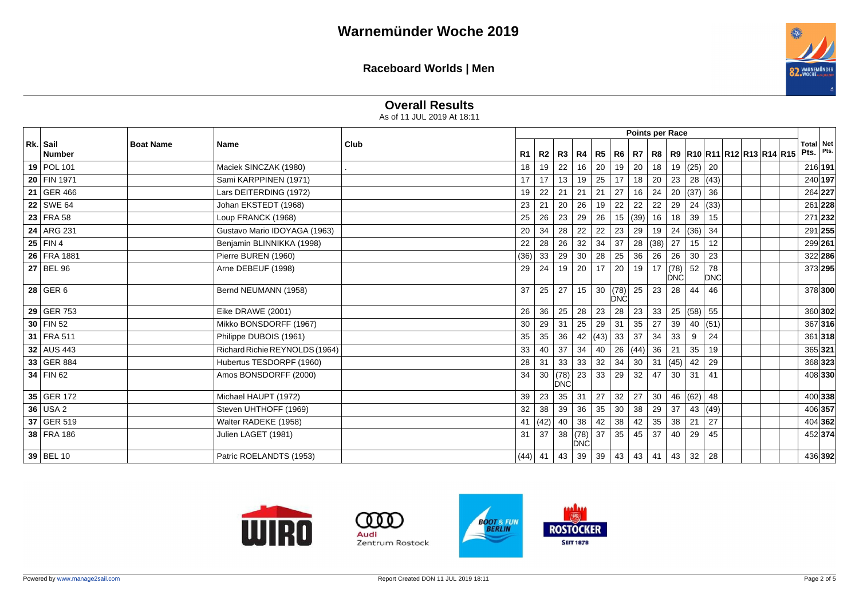

## **Overall Results**

As of 11 JUL 2019 At 18:11

|                    |                  |                                |      |         |      |                    |                       |           |               |                 |           | Points per Race |                |           |  |                                                                      |                          |      |
|--------------------|------------------|--------------------------------|------|---------|------|--------------------|-----------------------|-----------|---------------|-----------------|-----------|-----------------|----------------|-----------|--|----------------------------------------------------------------------|--------------------------|------|
| Rk. Sail<br>Number | <b>Boat Name</b> | Name                           | Club | R1      | R2   |                    |                       |           |               |                 |           |                 |                |           |  | R3   R4   R5   R6   R7   R8   R9   R10   R11   R12   R13   R14   R15 | <b>Total</b> Net<br>Pts. | Pts. |
| 19   POL 101       |                  | Maciek SINCZAK (1980)          |      | 18      | 19   | 22                 | 16                    | 20        | 19            | 20              | 18        | 19              | $(25)$ 20      |           |  |                                                                      | 216 191                  |      |
| 20 FIN 1971        |                  | Sami KARPPINEN (1971)          |      | 17      | 17   | 13                 | $19 \mid 25$          |           | 17            | 18              | 20        | 23              | 28 (43)        |           |  |                                                                      | 240 197                  |      |
| 21 GER 466         |                  | Lars DEITERDING (1972)         |      | 19      | 22   | 21                 | 21                    | 21        | 27            | 16              | 24        | 20              | (37) 36        |           |  |                                                                      | 264 227                  |      |
| 22 SWE 64          |                  | Johan EKSTEDT (1968)           |      | 23      | 21   | 20                 | 26                    | 19        | 22            | 22              | 22        | 29              | $24 \mid (33)$ |           |  |                                                                      | 261 228                  |      |
| 23 FRA 58          |                  | Loup FRANCK (1968)             |      | 25      | 26   | 23                 | 29                    | 26        | 15            | (39)            | 16        | 18              | 39             | 15        |  |                                                                      | 271 232                  |      |
| 24 ARG 231         |                  | Gustavo Mario IDOYAGA (1963)   |      | 20      | 34   | 28                 | 22                    | 22        | 23            | 29              | 19        | 24              | (36)           | 34        |  |                                                                      | 291 255                  |      |
| 25 FIN 4           |                  | Benjamin BLINNIKKA (1998)      |      | 22      | 28   | 26                 | 32                    | 34        | 37            |                 | 28   (38) | 27              | 15             | 12        |  |                                                                      | 299 261                  |      |
| 26 FRA 1881        |                  | Pierre BUREN (1960)            |      | (36)    | 33   | 29                 | 30 <sup>°</sup>       | 28        | 25            | 36              | 26        | 26              | 30             | 23        |  |                                                                      | 322 286                  |      |
| 27 BEL 96          |                  | Arne DEBEUF (1998)             |      | 29      | 24   | 19                 | 20                    | 17        | 20            | 19              | 17        | (78)<br>DNC     | 52             | 78<br>DNC |  |                                                                      | 373 295                  |      |
| $28$ GER 6         |                  | Bernd NEUMANN (1958)           |      | 37      | 25   | 27                 | 15                    | 30        | $(78)$<br>DNC | 25              | 23        | 28              | 44             | 46        |  |                                                                      | 378 300                  |      |
| 29 GER 753         |                  | Eike DRAWE (2001)              |      | 26      | 36   | 25                 | 28                    | 23        | 28            | 23              | 33        | 25              | (58) 55        |           |  |                                                                      | 360 302                  |      |
| $30$ FIN 52        |                  | Mikko BONSDORFF (1967)         |      | 30      | 29   | 31                 | 25                    | 29        | 31            | 35              | 27        | 39              |                | 40   (51) |  |                                                                      | 367 316                  |      |
| 31 FRA 511         |                  | Philippe DUBOIS (1961)         |      | 35      | 35   | 36                 |                       | 42 $(43)$ | 33            | 37              | 34        | 33              | 9              | 24        |  |                                                                      | 361 318                  |      |
| 32 AUS 443         |                  | Richard Richie REYNOLDS (1964) |      | 33      | 40   | 37                 | 34                    | 40        |               | 26 (44) 36      |           | 21              | 35             | 19        |  |                                                                      | 365 321                  |      |
| 33 GER 884         |                  | Hubertus TESDORPF (1960)       |      | 28      | 31   | 33                 | 33                    | 32        | 34            | 30 <sup>2</sup> | 31        | (45)            | 42             | 29        |  |                                                                      | 368 323                  |      |
| 34   FIN 62        |                  | Amos BONSDORFF (2000)          |      | 34      | 30   | (78)<br><b>DNC</b> | $23 \mid 33$          |           | 29            | 32              | 47        | 30              | 31             | 41        |  |                                                                      | 408 330                  |      |
| 35 GER 172         |                  | Michael HAUPT (1972)           |      | 39      | 23   | 35                 | 31                    | 27        | 32            | 27              | 30        | 46              | (62)           | 48        |  |                                                                      | 400 338                  |      |
| $36$ USA 2         |                  | Steven UHTHOFF (1969)          |      | 32      | 38   | 39                 | 36                    | 35        | 30            | 38              | 29        | 37              |                | 43 (49)   |  |                                                                      | 406 357                  |      |
| 37 GER 519         |                  | Walter RADEKE (1958)           |      | 41      | (42) | 40                 | 38                    | 42        | 38            | 42              | 35        | 38              | 21             | 27        |  |                                                                      | 404 362                  |      |
| 38 FRA 186         |                  | Julien LAGET (1981)            |      | 31      | 37   | 38                 | (78) 37<br><b>DNC</b> |           | 35            | 45              | 37        | 40              | 29             | 45        |  |                                                                      | 452 374                  |      |
| $39$ BEL 10        |                  | Patric ROELANDTS (1953)        |      | (44) 41 |      | 43                 | $39 \mid 39$          |           | 43            | $43 \mid 41$    |           | 43              | 32             | 28        |  |                                                                      | 436 392                  |      |







- 0 0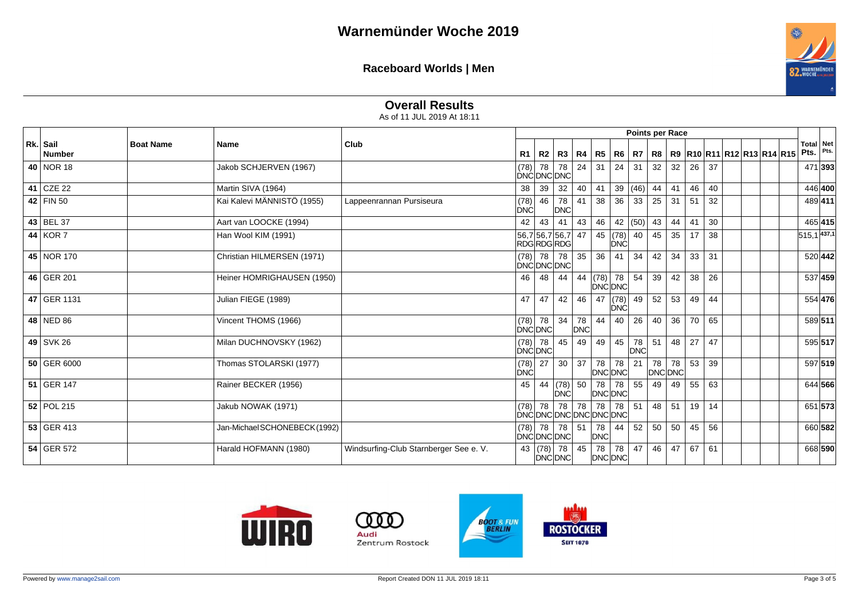

# **Overall Results**

As of 11 JUL 2019 At 18:11

|                           |                  |                               |                                        |                    |                                       |                  |           |                              |             | <b>Points per Race</b> |    |               |    |    |  |                                       |      |                          |
|---------------------------|------------------|-------------------------------|----------------------------------------|--------------------|---------------------------------------|------------------|-----------|------------------------------|-------------|------------------------|----|---------------|----|----|--|---------------------------------------|------|--------------------------|
| Rk. Sail<br><b>Number</b> | <b>Boat Name</b> | <b>Name</b>                   | Club                                   | R1                 | R2                                    |                  |           | R3   R4   R5   R6            |             | R7                     |    |               |    |    |  | R8   R9  R10  R11  R12  R13  R14  R15 | Pts. | <b>Total Net</b><br>Pts. |
| 40 NOR 18                 |                  | Jakob SCHJERVEN (1967)        |                                        | (78)               | 78<br>DNCDNCDNC                       | 78               | 24        | 31                           | 24          | 31                     | 32 | 32            | 26 | 37 |  |                                       |      | 471 393                  |
| 41 CZE 22                 |                  | Martin SIVA (1964)            |                                        | 38                 | 39                                    | 32               | 40        | 41                           | 39          | $ (46) $ 44            |    | 41            | 46 | 40 |  |                                       |      | 446 400                  |
| 42   FIN 50               |                  | Kai Kalevi MÄNNISTÖ (1955)    | Lappeenrannan Pursiseura               | (78)<br>DNC        | 46                                    | 78<br>DNC        | 41        | 38                           | 36          | 33                     | 25 | 31            | 51 | 32 |  |                                       |      | 489411                   |
| 43 BEL 37                 |                  | Aart van LOOCKE (1994)        |                                        | 42                 | 43                                    | 41               | 43        | 46                           | 42          | (50)                   | 43 | 44            | 41 | 30 |  |                                       |      | 465 415                  |
| 44 KOR 7                  |                  | Han Wool KIM (1991)           |                                        |                    | 56,7 56,7 56,7 47<br><b>RDGRDGRDG</b> |                  |           | 45                           | (78)<br>DNC | 40                     | 45 | 35            | 17 | 38 |  |                                       |      | $515,1$ 437,1            |
| 45 NOR 170                |                  | Christian HILMERSEN (1971)    |                                        | (78)               | 78<br>DNCDNCDNC                       | 78               | 35        | 36                           | 41          | 34                     | 42 | 34            | 33 | 31 |  |                                       |      | 520 442                  |
| 46 GER 201                |                  | Heiner HOMRIGHAUSEN (1950)    |                                        | 46                 | 48                                    | 44               |           | 44 (78) 78<br><b>DNC DNC</b> |             | 54                     | 39 | 42            | 38 | 26 |  |                                       |      | 537 459                  |
| 47 GER 1131               |                  | Julian FIEGE (1989)           |                                        | 47                 | 47                                    | 42               | 46        | 47                           | (78)<br>DNC | 49                     | 52 | 53            | 49 | 44 |  |                                       |      | 554 476                  |
| 48 NED 86                 |                  | Vincent THOMS (1966)          |                                        |                    | $(78)$ 78<br>DNCDNC                   | 34               | 78<br>DNC | 44                           | 40          | 26                     | 40 | 36            | 70 | 65 |  |                                       |      | 589 511                  |
| 49 SVK 26                 |                  | Milan DUCHNOVSKY (1962)       |                                        |                    | $(78)$ 78<br>DNC DNC                  | 45               | 49        | 49                           | 45          | 78<br><b>DNC</b>       | 51 | 48            | 27 | 47 |  |                                       |      | 595 517                  |
| 50 GER 6000               |                  | Thomas STOLARSKI (1977)       |                                        | (78)<br><b>DNĆ</b> | 27                                    | 30               | 37        | 78<br>DNC DNC                | 78          | 21                     | 78 | 78<br>DNC DNC | 53 | 39 |  |                                       |      | 597 519                  |
| 51 GER 147                |                  | Rainer BECKER (1956)          |                                        | 45                 | 44                                    | $(78)$ 50<br>DNĆ |           | 78<br>DNC DNC                | 78          | 55                     | 49 | 49            | 55 | 63 |  |                                       |      | 644 566                  |
| 52 POL 215                |                  | Jakub NOWAK (1971)            |                                        |                    | $(78)$ 78<br>DNCDNCDNCDNCDNCDNC       |                  |           | 78 78 78                     | 78          | 51                     | 48 | 51            | 19 | 14 |  |                                       |      | 651 573                  |
| 53 GER 413                |                  | Jan-Michael SCHONEBECK (1992) |                                        |                    | $(78)$ 78<br>DNCDNCDNC                | 78 51            |           | 78<br><b>DNC</b>             | 44          | 52                     | 50 | 50            | 45 | 56 |  |                                       |      | 660 582                  |
| 54 GER 572                |                  | Harald HOFMANN (1980)         | Windsurfing-Club Starnberger See e. V. |                    | 43 $(78)$<br>DNC DNC                  | 78               | 45        | 78<br>DNC DNC                | 78          | 47                     | 46 | 47            | 67 | 61 |  |                                       |      | 668 590                  |







- 0 0

Audi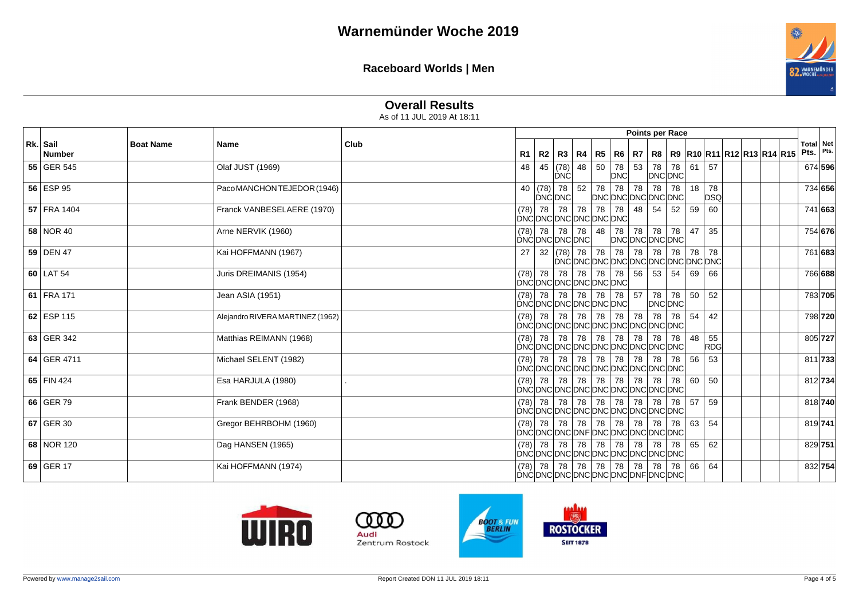

# **Overall Results**

As of 11 JUL 2019 At 18:11

|                           |                  |                                  |      |                |           |                                                                     |                   |    |           |         |       | <b>Points per Race</b> |    |                  |                                       |  |                          |      |
|---------------------------|------------------|----------------------------------|------|----------------|-----------|---------------------------------------------------------------------|-------------------|----|-----------|---------|-------|------------------------|----|------------------|---------------------------------------|--|--------------------------|------|
| Rk. Sail<br><b>Number</b> | <b>Boat Name</b> | <b>Name</b>                      | Club | R <sub>1</sub> | R2        |                                                                     | R3   R4   R5   R6 |    |           | R7      |       |                        |    |                  | R8   R9  R10  R11  R12  R13  R14  R15 |  | <b>Total</b> Net<br>Pts. | Pts. |
| 55 GER 545                |                  | Olaf JUST (1969)                 |      | 48             | 45        | (78)<br>DNC                                                         | 48                | 50 | 78<br>DNC |         |       | 53 78 78<br>DNC DNC    | 61 | 57               |                                       |  | 674 596                  |      |
| 56 ESP 95                 |                  | Paco MANCHON TEJEDOR (1946)      |      |                |           | 40 $ (78)$ 78  <br><b>DNCDNC</b>                                    | $52$ 78 78        |    |           | 78      | 78    | 78<br>DNCDNCDNCDNCDNC  | 18 | 78<br><b>DSQ</b> |                                       |  | 734 656                  |      |
| 57 FRA 1404               |                  | Franck VANBESELAERE (1970)       |      |                | $(78)$ 78 | 78<br>DNCDNCDNCDNCDNCDNC                                            | 78 78 78          |    |           | 48 54   |       | 52                     | 59 | 60               |                                       |  | 741 663                  |      |
| 58 NOR 40                 |                  | Arne NERVIK (1960)               |      |                |           | $(78)$ 78 78 78 48<br><b>DNCDNCDNCDNC</b>                           |                   |    | 78        |         | 78 78 | 78<br>DNCDNCDNCDNC     | 47 | 35               |                                       |  | 754 676                  |      |
| 59 DEN 47                 |                  | Kai HOFFMANN (1967)              |      | 27             |           |                                                                     |                   |    |           |         |       |                        |    |                  |                                       |  | 761 683                  |      |
| $60$ LAT 54               |                  | Juris DREIMANIS (1954)           |      |                |           | $(78)$ 78 78 78 78 78 78 56 53<br>DNCDNCDNCDNCDNCDNC                |                   |    |           |         |       | 54                     | 69 | 66               |                                       |  | 766 688                  |      |
| 61 FRA 171                |                  | Jean ASIA (1951)                 |      |                |           | $(78)$ 78 78 78 78 78 78<br>DNCDNCDNCDNCDNCDNC                      |                   |    |           | $57$ 78 |       | 78<br>DNC DNC          | 50 | 52               |                                       |  | 783 705                  |      |
| 62 ESP 115                |                  | Alejandro RIVERA MARTINEZ (1962) |      |                |           | $(78)$ 78 78 78 78 78<br> DNC DNC DNC DNC DNC DNC DNC DNC DNC       |                   |    |           | 78      | 78    | 78                     | 54 | 42               |                                       |  | 798 720                  |      |
| 63 GER 342                |                  | Matthias REIMANN (1968)          |      |                |           | $(78)$ 78 78 78 78 78<br>DNCDNCDNCDNCDNCDNCDNCDNCDNCD               |                   |    |           | 78   78 |       | 78                     | 48 | 55<br>RDG        |                                       |  | 805 727                  |      |
| 64 GER 4711               |                  | Michael SELENT (1982)            |      |                |           | $(78)$ 78 78 78 78 78 78 78 78 78<br>DNCDNCDNCDNCDNCDNCDNCDNCDNCDNC |                   |    |           |         |       | 78                     | 56 | 53               |                                       |  | 811 733                  |      |
| 65 FIN 424                |                  | Esa HARJULA (1980)               |      |                |           | $(78)$ 78 78<br>DNCDNCDNCDNCDNCDNCDNCDNCDNCDNC                      | 78 78 78          |    |           | 78   78 |       | 78                     | 60 | 50               |                                       |  | 812 734                  |      |
| 66 GER 79                 |                  | Frank BENDER (1968)              |      |                |           | $(78)$ 78 78 78 78 78 78<br>DNCDNCDNCDNCDNCDNCDNCDNCDNCDNC          |                   |    |           | 78 78   |       | 78                     | 57 | 59               |                                       |  | 818 740                  |      |
| 67 GER 30                 |                  | Gregor BEHRBOHM (1960)           |      |                |           | $(78)$ 78 78 78 78 78 78 78 78<br>DNCDNCDNCDNFDNCDNCDNCDNCDNC       |                   |    |           |         |       | 78                     | 63 | 54               |                                       |  | 819 741                  |      |
| 68 NOR 120                |                  | Dag HANSEN (1965)                |      |                |           | $(78)$ 78 78 78 78 78 78 78 78 78<br>DNCDNCDNCDNCDNCDNCDNCDNCDNCDNC |                   |    |           |         |       | 78                     | 65 | 62               |                                       |  | 829 751                  |      |
| 69 GER 17                 |                  | Kai HOFFMANN (1974)              |      |                |           | $(78)$ 78 78 78 78 78 78 78 78 78<br>DNCDNCDNCDNCDNCDNCDNFDNCDNC    |                   |    |           |         |       | 78                     | 66 | 64               |                                       |  | 832 754                  |      |





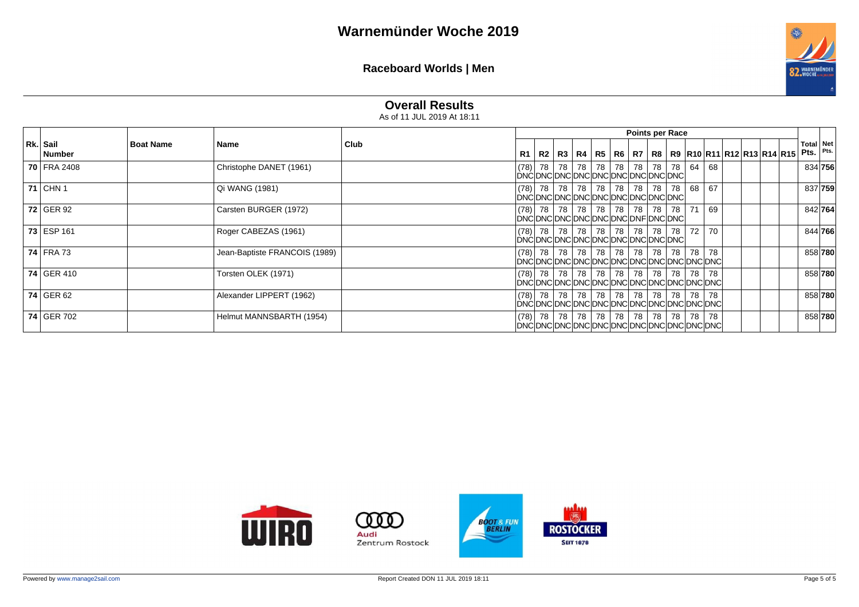

## **Overall Results**

As of 11 JUL 2019 At 18:11

|                           |                  |                               |      |           |                                                                         |  |  | <b>Points per Race</b>      |    |       |       |                                                                     |  |                          |         |
|---------------------------|------------------|-------------------------------|------|-----------|-------------------------------------------------------------------------|--|--|-----------------------------|----|-------|-------|---------------------------------------------------------------------|--|--------------------------|---------|
| Rk. Sail<br><b>Number</b> | <b>Boat Name</b> | Name                          | Club | <b>R1</b> |                                                                         |  |  |                             |    |       |       | R2   R3   R4   R5   R6   R7   R8   R9  R10  R11  R12  R13  R14  R15 |  | <b>Total Net</b><br>Pts. | Pts.    |
| <b>70 FRA 2408</b>        |                  | Christophe DANET (1961)       |      |           | (78)  78   78  <br>DNCDNCDNCDNCDNCDNCDNCDNCDNCDNC                       |  |  | 78   78   78   78   78      | 78 | 64    | 68    |                                                                     |  | 834 756                  |         |
| <b>71 CHN 1</b>           |                  | Qi WANG (1981)                |      |           | $ (78)$ 78 78 78 78 78 78 78 78 78 78<br>DNCDNCDNCDNCDNCDNCDNCDNCDNCDNC |  |  |                             |    | 68    | 67    |                                                                     |  | 837 759                  |         |
| $72$ GER 92               |                  | Carsten BURGER (1972)         |      |           | $ (78)$ 78 78 78 78 78 78 78 78 78<br>DNCDNCDNCDNCDNCDNCDNCDNFDNCDNC    |  |  |                             | 78 | 71    | 69    |                                                                     |  | 842 764                  |         |
| 73 ESP 161                |                  | Roger CABEZAS (1961)          |      |           | DNCDNCDNCDNCDNCDNCDNCDNCDNCDNC                                          |  |  |                             | 78 | 72    | 70    |                                                                     |  | 844 766                  |         |
| <b>74 FRA 73</b>          |                  | Jean-Baptiste FRANCOIS (1989) |      |           | $ (78) $ 78   78  <br>DNCDNCDNCDNCDNCDNCDNCDNCDNCDNCDNCDNC              |  |  | 78   78   78   78   78      | 78 |       | 78 78 |                                                                     |  |                          | 858 780 |
| 74 GER 410                |                  | Torsten OLEK (1971)           |      |           | $ (78) $ 78   78  <br>DNCDNCDNCDNCDNCDNCDNCDNCDNCDNCDNCDNC              |  |  | 78   78   78   78   78   78 |    |       | 78 78 |                                                                     |  | 858 780                  |         |
| 74 GER 62                 |                  | Alexander LIPPERT (1962)      |      |           | DNCDNCDNCDNCDNCDNCDNCDNCDNCDNCDNCDNC                                    |  |  |                             |    |       |       |                                                                     |  |                          | 858 780 |
| 74 GER 702                |                  | Helmut MANNSBARTH (1954)      |      |           | $ (78)$ 78 78                                                           |  |  | 78   78   78   78   78   78 |    | 78 78 |       |                                                                     |  |                          | 858 780 |

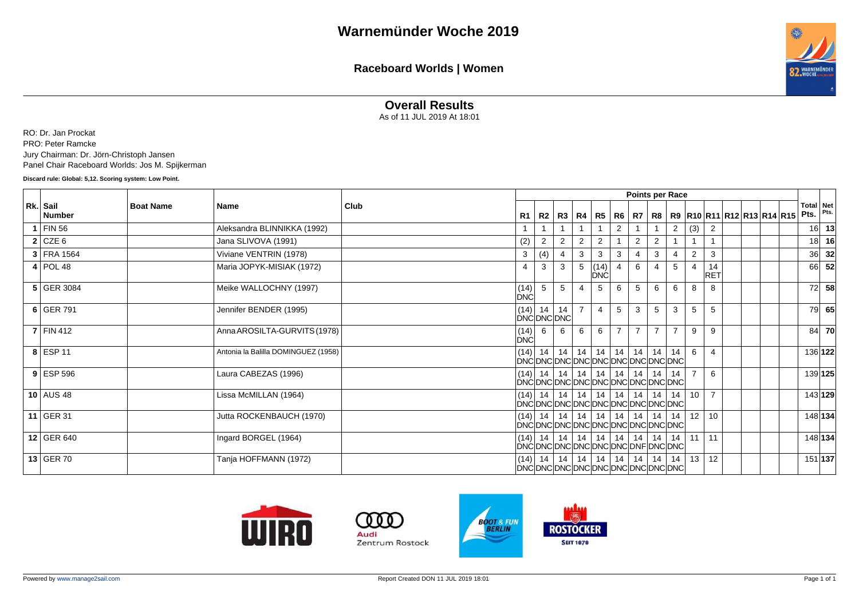

#### **Overall Results**

As of 11 JUL 2019 At 18:01

RO: Dr. Jan Prockat PRO: Peter Ramcke Jury Chairman: Dr. Jörn-Christoph Jansen Panel Chair Raceboard Worlds: Jos M. Spijkerman

**Discard rule: Global: 5,12. Scoring system: Low Point.**

|                           |                  |                                     |      |                                             |                                             |    |   |                             |                | Points per Race |                |                |                 |                  |  |                            |                          |           |
|---------------------------|------------------|-------------------------------------|------|---------------------------------------------|---------------------------------------------|----|---|-----------------------------|----------------|-----------------|----------------|----------------|-----------------|------------------|--|----------------------------|--------------------------|-----------|
| Rk. Sail<br><b>Number</b> | <b>Boat Name</b> | Name                                | Club | R1                                          | R2                                          |    |   | R3   R4   R5                |                | R6   R7   R8    |                |                |                 |                  |  | R9 R10 R11 R12 R13 R14 R15 | <b>Total Net</b><br>Pts. | Pts.      |
| $1$ FIN 56                |                  | Aleksandra BLINNIKKA (1992)         |      |                                             |                                             |    |   |                             | 2              |                 |                | 2              | (3)             | $\overline{2}$   |  |                            | 16                       | 13        |
| $2$ CZE 6                 |                  | Jana SLIVOVA (1991)                 |      | (2)                                         | $\mathcal{P}$                               | 2  | 2 | 2                           |                | $\overline{2}$  | 2              |                |                 |                  |  |                            | 18 <sup>1</sup>          | 16        |
| 3 FRA 1564                |                  | Viviane VENTRIN (1978)              |      | 3                                           | (4)                                         | 4  | 3 | 3                           | 3              |                 | 3              |                | $\overline{2}$  | 3                |  |                            | 36l                      | 32        |
| $4$ POL 48                |                  | Maria JOPYK-MISIAK (1972)           |      | $\overline{4}$                              | 3                                           | 3  | 5 | (14)<br><b>DNC</b>          | $\overline{4}$ | 6               |                | 5              | 4               | 14<br><b>RET</b> |  |                            | 66                       | 52        |
| 5 GER 3084                |                  | Meike WALLOCHNY (1997)              |      | $\begin{bmatrix} (14) \\ DNC \end{bmatrix}$ | 5                                           | 5  | 4 | 5                           | 6              | 5               | 6              | 6              | 8               | 8                |  |                            | 72                       | 58        |
| $6$ GER 791               |                  | Jennifer BENDER (1995)              |      | (14)                                        | 14<br>DNC DNC DNC                           | 14 |   | 4                           | 5              | 3               | 5              | 3              | 5               | 5                |  |                            | 79I                      | 65        |
| $7$ FIN 412               |                  | Anna AROSILTA-GURVITS (1978)        |      | $\begin{bmatrix} (14) \\ DNC \end{bmatrix}$ | 6                                           | 6  | 6 | 6                           | $\overline{7}$ | $\overline{7}$  | $\overline{7}$ | $\overline{7}$ | 9               | 9                |  |                            | 84                       | <b>70</b> |
| $8$ ESP 11                |                  | Antonia la Balilla DOMINGUEZ (1958) |      |                                             | $(14)$ 14<br>DNCDNCDNCDNCDNCDNCDNCDNCDNCD   | 14 |   | $14$ 14                     | 14             | 14              | 14             | 14             | 6               | $\overline{4}$   |  |                            | 136 122                  |           |
| $9$ ESP 596               |                  | Laura CABEZAS (1996)                |      |                                             | $(14)$ 14<br>DNCDNCDNCDNCDNCDNCDNCDNCDNCDNC | 14 |   | $14$   14                   | $\vert$ 14     |                 | 14   14        | 14             | $\overline{7}$  | 6                |  |                            | 139 125                  |           |
| 10 AUS 48                 |                  | Lissa McMILLAN (1964)               |      |                                             | $(14)$ 14<br>DNCDNCDNCDNCDNCDNCDNCDNCDNCD   | 14 |   | 14 14 14                    |                |                 | $14$ 14        | 14             | 10              | $\overline{7}$   |  |                            | 143 129                  |           |
| 11 GER 31                 |                  | Jutta ROCKENBAUCH (1970)            |      |                                             | $(14)$ 14<br>DNCDNCDNCDNCDNCDNCDNCDNCDNCDNC |    |   | 14   14   14   14   14   14 |                |                 |                | 14             | 12 <sup>1</sup> | 10               |  |                            | 148 134                  |           |
| 12 GER 640                |                  | Ingard BORGEL (1964)                |      |                                             | $(14)$ 14<br>DNCDNCDNCDNCDNCDNCDNCDNFDNCDNC |    |   | 14   14   14   14   14   14 |                |                 |                | 14             | 11              | 11               |  |                            | 148 134                  |           |
| 13 GER 70                 |                  | Tanja HOFFMANN (1972)               |      |                                             | $(14)$ 14<br>DNCDNCDNCDNCDNCDNCDNCDNCDNCD   | 14 |   | $14$   14   14              |                |                 | $14$ 14        | 14             | 13              | 12               |  |                            | 151 137                  |           |





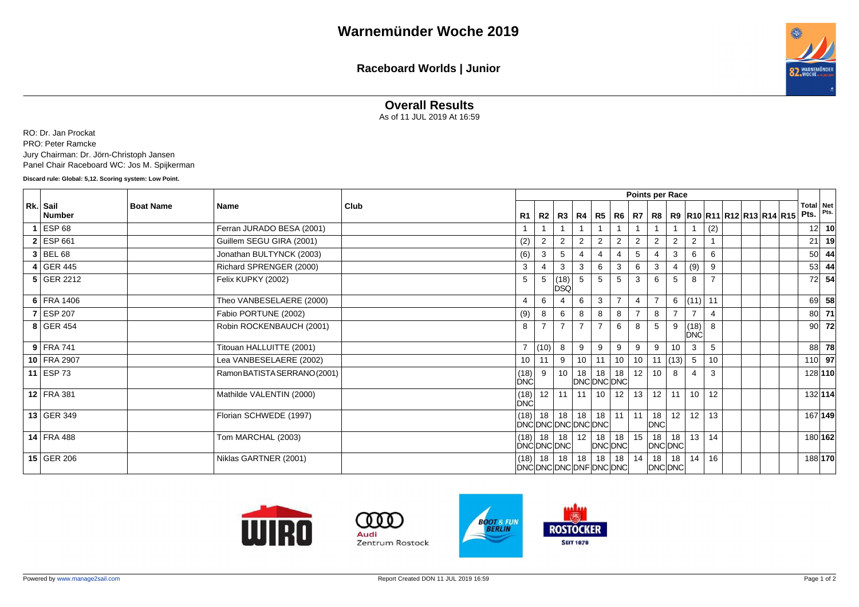**Raceboard Worlds | Junior**



#### **Overall Results**

As of 11 JUL 2019 At 16:59

RO: Dr. Jan Prockat PRO: Peter Ramcke Jury Chairman: Dr. Jörn-Christoph Jansen Panel Chair Raceboard WC: Jos M. Spijkerman

**Discard rule: Global: 5,12. Scoring system: Low Point.**

|                           |                  |                              |      |                                             |                          |                    |                |                        |                |                 | Points per Race  |                |                    |                |  |                            |                   |       |
|---------------------------|------------------|------------------------------|------|---------------------------------------------|--------------------------|--------------------|----------------|------------------------|----------------|-----------------|------------------|----------------|--------------------|----------------|--|----------------------------|-------------------|-------|
| Rk. Sail<br><b>Number</b> | <b>Boat Name</b> | Name                         | Club | R1                                          | R2                       | R3                 |                | R4   R5                |                |                 | R6   R7   R8     |                |                    |                |  | R9 R10 R11 R12 R13 R14 R15 | Total Net<br>Pts. | Pts.  |
| $1$ ESP 68                |                  | Ferran JURADO BESA (2001)    |      |                                             |                          |                    |                |                        |                |                 |                  |                |                    | (2)            |  |                            | 12 <sup>1</sup>   | 10    |
| $2$ ESP 661               |                  | Guillem SEGU GIRA (2001)     |      | (2)                                         | $\overline{2}$           | $\overline{2}$     | 2              | 2                      | 2              | $\overline{2}$  | $\overline{2}$   | 2              | $\overline{2}$     |                |  |                            | 21                | 19    |
| $3$ BEL 68                |                  | Jonathan BULTYNCK (2003)     |      | (6)                                         | 3                        | 5                  | 4              |                        | $\overline{4}$ | 5               |                  | 3              | 6                  | 6              |  |                            | <b>50</b>         | -44   |
| $4$ GER 445               |                  | Richard SPRENGER (2000)      |      | 3                                           |                          | 3                  | 3              | 6                      | 3              | 6               | 3                |                | (9)                | 9              |  |                            | 53 <sub>1</sub>   | 44    |
| 5 GER 2212                |                  | Felix KUPKY (2002)           |      | 5                                           |                          | (18)<br><b>DSQ</b> | 5              | 5                      | 5              | 3               | 6                |                | 8                  | $\overline{7}$ |  |                            | 72                | 54    |
| 6 FRA 1406                |                  | Theo VANBESELAERE (2000)     |      | $\overline{4}$                              | 6                        |                    | 6              | 3                      | $\overline{7}$ |                 | $\overline{7}$   | 6              | (11)               | 11             |  |                            | 69                | 58    |
| 7 ESP 207                 |                  | Fabio PORTUNE (2002)         |      | (9)                                         | 8                        | 6                  | 8              | 8                      | 8              |                 | 8                | $\overline{7}$ | $\overline{z}$     | 4              |  |                            | 80l               | 71    |
| 8 GER 454                 |                  | Robin ROCKENBAUCH (2001)     |      | 8                                           |                          | $\overline{7}$     | $\overline{7}$ |                        | 6              | 8               | 5                | 9              | (18)<br><b>DNC</b> | 8              |  |                            |                   | 90 72 |
| $9$ FRA 741               |                  | Titouan HALLUITTE (2001)     |      |                                             | (10)                     | 8                  | 9              | 9                      | 9              | 9               | 9                | 10             | 3                  | 5              |  |                            | 88                | 78    |
| 10 FRA 2907               |                  | Lea VANBESELAERE (2002)      |      | 10                                          | 11                       | 9                  | 10             | 11                     | 10             | 10              | 11               | (13)           | $5\overline{)}$    | 10             |  |                            | $110$ 97          |       |
| 11 ESP 73                 |                  | Ramon BATISTA SERRANO (2001) |      | $\begin{vmatrix} (18) \\ DNC \end{vmatrix}$ | 9                        | 10 <sup>1</sup>    |                | $18$ 18<br>DNC DNC DNC | 18             | 12 <sup>1</sup> | 10 <sup>°</sup>  | 8              | $\overline{4}$     | 3              |  |                            | 128 110           |       |
| 12 FRA 381                |                  | Mathilde VALENTIN (2000)     |      | (18)<br><b>DNC</b>                          | 12                       | 11                 |                | $11$ 10                | 12             | 13              | 12               | 11             | 10 <sup>1</sup>    | 12             |  |                            | 132 114           |       |
| 13 GER 349                |                  | Florian SCHWEDE (1997)       |      | (18)                                        | 18<br>DNCDNCDNCDNCDNC    | 18                 |                | $18$ 18                | 11             | 11 <sup>1</sup> | 18<br><b>DNC</b> | 12             | 12                 | 13             |  |                            | 167 149           |       |
| 14   FRA 488              |                  | Tom MARCHAL (2003)           |      | (18)                                        | 18<br>DNCDNCDNC          | 18                 | 12             | 18<br><b>DNC DNC</b>   | 18             | 15              | 18<br>DNC DNC    | 18             | 13                 | 14             |  |                            | 180 162           |       |
| 15 GER 206                |                  | Niklas GARTNER (2001)        |      | (18)                                        | 18<br>DNCDNCDNCDNFDNCDNC | 18                 | 18             | 18                     | 18             | 14              | 18<br>DNC DNC    | 18             | 14                 | 16             |  |                            | 188 170           |       |





Audi